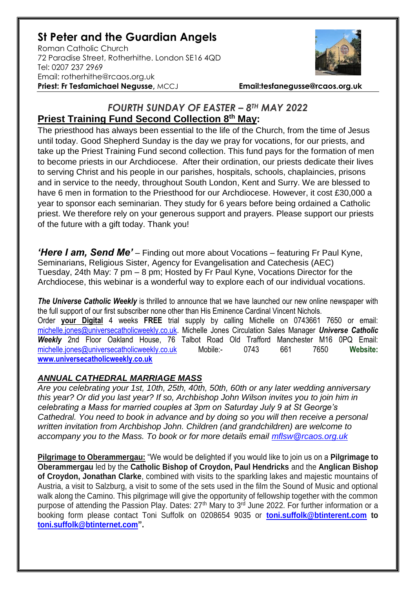## **St Peter and the Guardian Angels**

Roman Catholic Church 72 Paradise Street, Rotherhithe. London SE16 4QD [Tel: 0207](tel:0207) 237 2969 Email: rotherhithe@rcaos.org.uk **Priest: Fr Tesfamichael Negusse,** MCCJ **Email:tesfanegusse@rcaos.org.uk**



## *FOURTH SUNDAY OF EASTER – 8TH MAY 2022* **Priest Training Fund Second Collection 8th May:**

The priesthood has always been essential to the life of the Church, from the time of Jesus until today. Good Shepherd Sunday is the day we pray for vocations, for our priests, and take up the Priest Training Fund second collection. This fund pays for the formation of men to become priests in our Archdiocese. After their ordination, our priests dedicate their lives to serving Christ and his people in our parishes, hospitals, schools, chaplaincies, prisons and in service to the needy, throughout South London, Kent and Surry. We are blessed to have 6 men in formation to the Priesthood for our Archdiocese. However, it cost £30,000 a year to sponsor each seminarian. They study for 6 years before being ordained a Catholic priest. We therefore rely on your generous support and prayers. Please support our priests of the future with a gift today. Thank you!

*'Here I am, Send Me'* – Finding out more about Vocations – featuring Fr Paul Kyne, Seminarians, Religious Sister, Agency for Evangelisation and Catechesis (AEC) Tuesday, 24th May: 7 pm – 8 pm; Hosted by Fr Paul Kyne, Vocations Director for the Archdiocese, this webinar is a wonderful way to explore each of our individual vocations.

**The Universe Catholic Weekly** is thrilled to announce that we have launched our new online newspaper with the full support of our first subscriber none other than His Eminence Cardinal Vincent Nichols. Order **your Digital** 4 weeks **FREE** trial supply by calling Michelle on 0743661 7650 or email: [michelle.jones@universecatholicweekly.co.uk.](mailto:michelle.jones@universecatholicweekly.co.uk) Michelle Jones Circulation Sales Manager *Universe Catholic Weekly* 2nd Floor Oakland House, 76 Talbot Road Old Trafford Manchester M16 0PQ Email: [michelle.jones@universecatholicweekly.co.uk](mailto:michelle.jones@universecatholicweekly.co.uk) Mobile:- 0743 661 7650 **Website: [www.universecatholicweekly.co.uk](http://www.universecatholicweekly.co.uk/)**

## *ANNUAL CATHEDRAL MARRIAGE MASS*

*Are you celebrating your 1st, 10th, 25th, 40th, 50th, 60th or any later wedding anniversary this year? Or did you last year? If so, Archbishop John Wilson invites you to join him in celebrating a Mass for married couples at 3pm on Saturday July 9 at St George's Cathedral. You need to book in advance and by doing so you will then receive a personal written invitation from Archbishop John. Children (and grandchildren) are welcome to accompany you to the Mass. To book or for more details email [mflsw@rcaos.org.uk](mailto:mflsw@rcaos.org.uk)*

**Pilgrimage to Oberammergau:** "We would be delighted if you would like to join us on a **Pilgrimage to Oberammergau** led by the **Catholic Bishop of Croydon, Paul Hendricks** and the **Anglican Bishop of Croydon, Jonathan Clarke**, combined with visits to the sparkling lakes and majestic mountains of Austria, a visit to Salzburg, a visit to some of the sets used in the film the Sound of Music and optional walk along the Camino. This pilgrimage will give the opportunity of fellowship together with the common purpose of attending the Passion Play. Dates: 27<sup>th</sup> Mary to 3<sup>rd</sup> June 2022. For further information or a booking form please contact Toni Suffolk on 0208654 9035 or **[toni.suffolk@btinterent.com](mailto:toni.suffolk@btinterent.com) to [toni.suffolk@btinternet.com"](mailto:toni.suffolk@btinternet.com).**